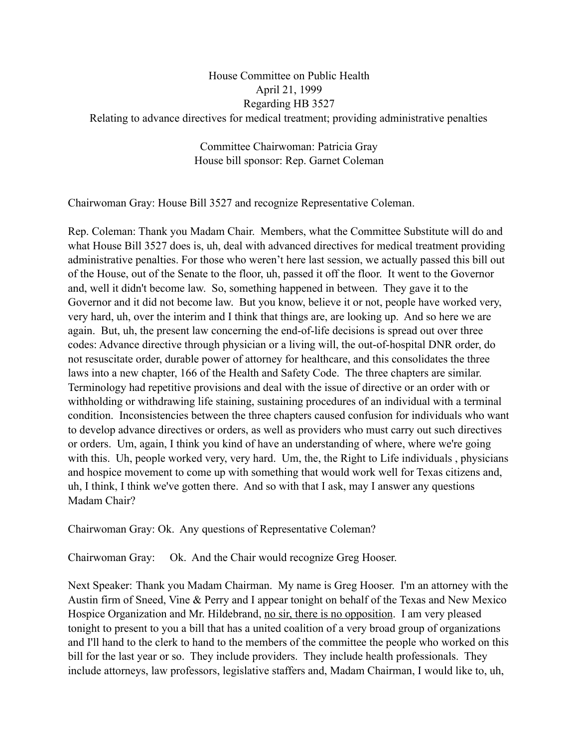## House Committee on Public Health April 21, 1999 Regarding HB 3527 Relating to advance directives for medical treatment; providing administrative penalties

Committee Chairwoman: Patricia Gray House bill sponsor: Rep. Garnet Coleman

Chairwoman Gray: House Bill 3527 and recognize Representative Coleman.

Rep. Coleman: Thank you Madam Chair. Members, what the Committee Substitute will do and what House Bill 3527 does is, uh, deal with advanced directives for medical treatment providing administrative penalties. For those who weren't here last session, we actually passed this bill out of the House, out of the Senate to the floor, uh, passed it off the floor. It went to the Governor and, well it didn't become law. So, something happened in between. They gave it to the Governor and it did not become law. But you know, believe it or not, people have worked very, very hard, uh, over the interim and I think that things are, are looking up. And so here we are again. But, uh, the present law concerning the end-of-life decisions is spread out over three codes: Advance directive through physician or a living will, the out-of-hospital DNR order, do not resuscitate order, durable power of attorney for healthcare, and this consolidates the three laws into a new chapter, 166 of the Health and Safety Code. The three chapters are similar. Terminology had repetitive provisions and deal with the issue of directive or an order with or withholding or withdrawing life staining, sustaining procedures of an individual with a terminal condition. Inconsistencies between the three chapters caused confusion for individuals who want to develop advance directives or orders, as well as providers who must carry out such directives or orders. Um, again, I think you kind of have an understanding of where, where we're going with this. Uh, people worked very, very hard. Um, the, the Right to Life individuals, physicians and hospice movement to come up with something that would work well for Texas citizens and, uh, I think, I think we've gotten there. And so with that I ask, may I answer any questions Madam Chair?

Chairwoman Gray: Ok. Any questions of Representative Coleman?

Chairwoman Gray: Ok. And the Chair would recognize Greg Hooser.

Next Speaker: Thank you Madam Chairman. My name is Greg Hooser. I'm an attorney with the Austin firm of Sneed, Vine & Perry and I appear tonight on behalf of the Texas and New Mexico Hospice Organization and Mr. Hildebrand, no sir, there is no opposition. I am very pleased tonight to present to you a bill that has a united coalition of a very broad group of organizations and I'll hand to the clerk to hand to the members of the committee the people who worked on this bill for the last year or so. They include providers. They include health professionals. They include attorneys, law professors, legislative staffers and, Madam Chairman, I would like to, uh,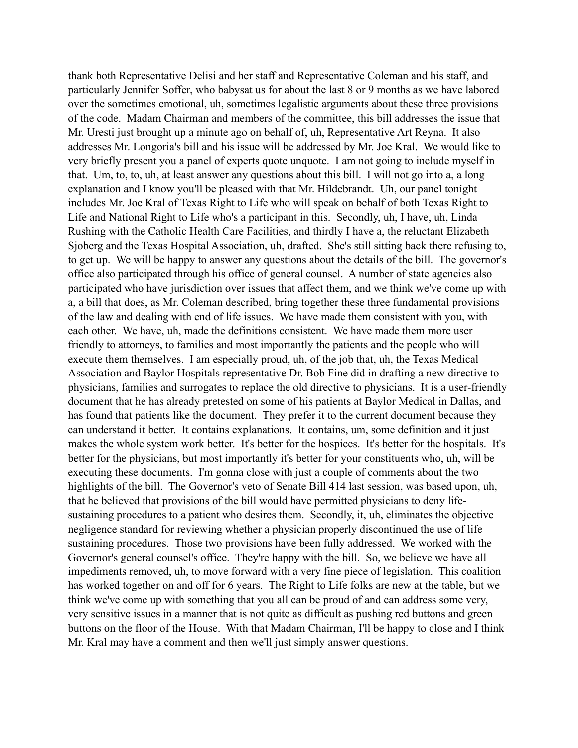thank both Representative Delisi and her staff and Representative Coleman and his staff, and particularly Jennifer Soffer, who babysat us for about the last 8 or 9 months as we have labored over the sometimes emotional, uh, sometimes legalistic arguments about these three provisions of the code. Madam Chairman and members of the committee, this bill addresses the issue that Mr. Uresti just brought up a minute ago on behalf of, uh, Representative Art Reyna. It also addresses Mr. Longoria's bill and his issue will be addressed by Mr. Joe Kral. We would like to very briefly present you a panel of experts quote unquote. I am not going to include myself in that. Um, to, to, uh, at least answer any questions about this bill. I will not go into a, a long explanation and I know you'll be pleased with that Mr. Hildebrandt. Uh, our panel tonight includes Mr. Joe Kral of Texas Right to Life who will speak on behalf of both Texas Right to Life and National Right to Life who's a participant in this. Secondly, uh, I have, uh, Linda Rushing with the Catholic Health Care Facilities, and thirdly I have a, the reluctant Elizabeth Sjoberg and the Texas Hospital Association, uh, drafted. She's still sitting back there refusing to, to get up. We will be happy to answer any questions about the details of the bill. The governor's office also participated through his office of general counsel. A number of state agencies also participated who have jurisdiction over issues that affect them, and we think we've come up with a, a bill that does, as Mr. Coleman described, bring together these three fundamental provisions of the law and dealing with end of life issues. We have made them consistent with you, with each other. We have, uh, made the definitions consistent. We have made them more user friendly to attorneys, to families and most importantly the patients and the people who will execute them themselves. I am especially proud, uh, of the job that, uh, the Texas Medical Association and Baylor Hospitals representative Dr. Bob Fine did in drafting a new directive to physicians, families and surrogates to replace the old directive to physicians. It is a user-friendly document that he has already pretested on some of his patients at Baylor Medical in Dallas, and has found that patients like the document. They prefer it to the current document because they can understand it better. It contains explanations. It contains, um, some definition and it just makes the whole system work better. It's better for the hospices. It's better for the hospitals. It's better for the physicians, but most importantly it's better for your constituents who, uh, will be executing these documents. I'm gonna close with just a couple of comments about the two highlights of the bill. The Governor's veto of Senate Bill 414 last session, was based upon, uh, that he believed that provisions of the bill would have permitted physicians to deny lifesustaining procedures to a patient who desires them. Secondly, it, uh, eliminates the objective negligence standard for reviewing whether a physician properly discontinued the use of life sustaining procedures. Those two provisions have been fully addressed. We worked with the Governor's general counsel's office. They're happy with the bill. So, we believe we have all impediments removed, uh, to move forward with a very fine piece of legislation. This coalition has worked together on and off for 6 years. The Right to Life folks are new at the table, but we think we've come up with something that you all can be proud of and can address some very, very sensitive issues in a manner that is not quite as difficult as pushing red buttons and green buttons on the floor of the House. With that Madam Chairman, I'll be happy to close and I think Mr. Kral may have a comment and then we'll just simply answer questions.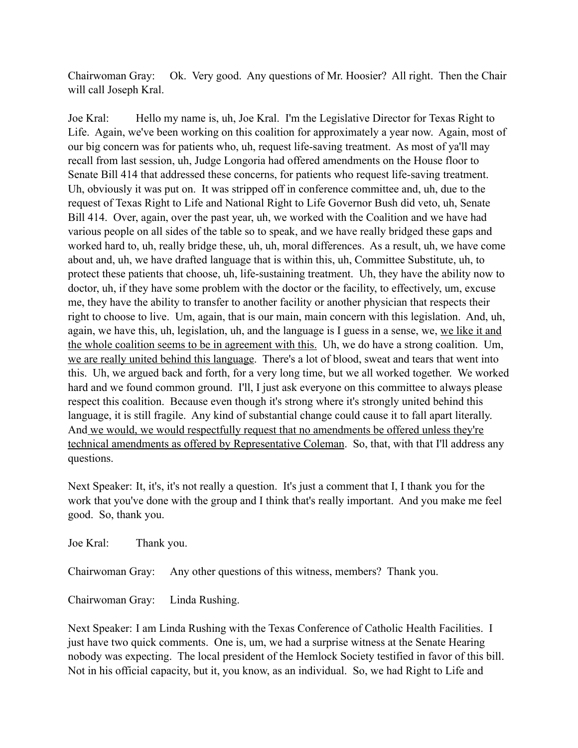Chairwoman Gray: Ok. Very good. Any questions of Mr. Hoosier? All right. Then the Chair will call Joseph Kral.

Joe Kral: Hello my name is, uh, Joe Kral. I'm the Legislative Director for Texas Right to Life. Again, we've been working on this coalition for approximately a year now. Again, most of our big concern was for patients who, uh, request life-saving treatment. As most of ya'll may recall from last session, uh, Judge Longoria had offered amendments on the House floor to Senate Bill 414 that addressed these concerns, for patients who request life-saving treatment. Uh, obviously it was put on. It was stripped off in conference committee and, uh, due to the request of Texas Right to Life and National Right to Life Governor Bush did veto, uh, Senate Bill 414. Over, again, over the past year, uh, we worked with the Coalition and we have had various people on all sides of the table so to speak, and we have really bridged these gaps and worked hard to, uh, really bridge these, uh, uh, moral differences. As a result, uh, we have come about and, uh, we have drafted language that is within this, uh, Committee Substitute, uh, to protect these patients that choose, uh, life-sustaining treatment. Uh, they have the ability now to doctor, uh, if they have some problem with the doctor or the facility, to effectively, um, excuse me, they have the ability to transfer to another facility or another physician that respects their right to choose to live. Um, again, that is our main, main concern with this legislation. And, uh, again, we have this, uh, legislation, uh, and the language is I guess in a sense, we, we like it and the whole coalition seems to be in agreement with this. Uh, we do have a strong coalition. Um, we are really united behind this language. There's a lot of blood, sweat and tears that went into this. Uh, we argued back and forth, for a very long time, but we all worked together. We worked hard and we found common ground. I'll, I just ask everyone on this committee to always please respect this coalition. Because even though it's strong where it's strongly united behind this language, it is still fragile. Any kind of substantial change could cause it to fall apart literally. And we would, we would respectfully request that no amendments be offered unless they're technical amendments as offered by Representative Coleman. So, that, with that I'll address any questions.

Next Speaker: It, it's, it's not really a question. It's just a comment that I, I thank you for the work that you've done with the group and I think that's really important. And you make me feel good. So, thank you.

Joe Kral: Thank you.

Chairwoman Gray: Any other questions of this witness, members? Thank you.

Chairwoman Gray: Linda Rushing.

Next Speaker: I am Linda Rushing with the Texas Conference of Catholic Health Facilities. I just have two quick comments. One is, um, we had a surprise witness at the Senate Hearing nobody was expecting. The local president of the Hemlock Society testified in favor of this bill. Not in his official capacity, but it, you know, as an individual. So, we had Right to Life and